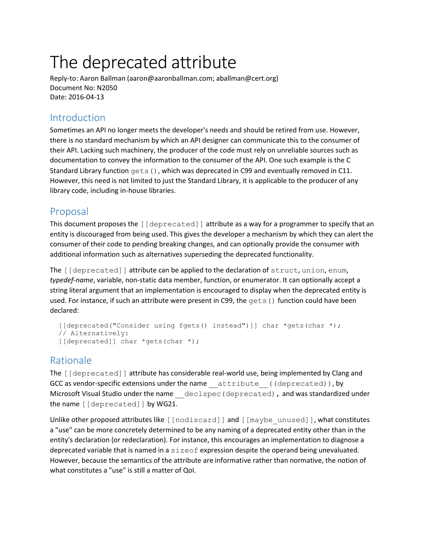# The deprecated attribute

Reply-to: Aaron Ballman (aaron@aaronballman.com; aballman@cert.org) Document No: N2050 Date: 2016-04-13

## Introduction

Sometimes an API no longer meets the developer's needs and should be retired from use. However, there is no standard mechanism by which an API designer can communicate this to the consumer of their API. Lacking such machinery, the producer of the code must rely on unreliable sources such as documentation to convey the information to the consumer of the API. One such example is the C Standard Library function  $qets()$ , which was deprecated in C99 and eventually removed in C11. However, this need is not limited to just the Standard Library, it is applicable to the producer of any library code, including in-house libraries.

## Proposal

This document proposes the [[deprecated]] attribute as a way for a programmer to specify that an entity is discouraged from being used. This gives the developer a mechanism by which they can alert the consumer of their code to pending breaking changes, and can optionally provide the consumer with additional information such as alternatives superseding the deprecated functionality.

The [[deprecated]] attribute can be applied to the declaration of struct, union, enum, *typedef-name*, variable, non-static data member, function, or enumerator. It can optionally accept a string literal argument that an implementation is encouraged to display when the deprecated entity is used. For instance, if such an attribute were present in C99, the gets() function could have been declared:

```
[[deprecated("Consider using fgets() instead")]] char *qets(char *);
 // Alternatively:
[[deprecated]] char *gets(char *);
```
## Rationale

The [[deprecated]] attribute has considerable real-world use, being implemented by Clang and GCC as vendor-specific extensions under the name attribute ((deprecated)), by Microsoft Visual Studio under the name declspec (deprecated), and was standardized under the name [[deprecated]] by WG21.

Unlike other proposed attributes like [[nodiscard]] and [[maybe\_unused]], what constitutes a "use" can be more concretely determined to be any naming of a deprecated entity other than in the entity's declaration (or redeclaration). For instance, this encourages an implementation to diagnose a deprecated variable that is named in a sizeof expression despite the operand being unevaluated. However, because the semantics of the attribute are informative rather than normative, the notion of what constitutes a "use" is still a matter of QoI.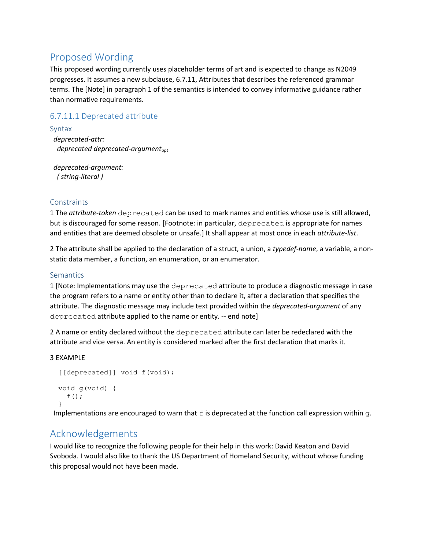## Proposed Wording

This proposed wording currently uses placeholder terms of art and is expected to change as N2049 progresses. It assumes a new subclause, 6.7.11, Attributes that describes the referenced grammar terms. The [Note] in paragraph 1 of the semantics is intended to convey informative guidance rather than normative requirements.

## 6.7.11.1 Deprecated attribute

#### Syntax

 *deprecated-attr: deprecated deprecated-argumentopt*

 *deprecated-argument: ( string-literal )*

### **Constraints**

1 The *attribute-token* deprecated can be used to mark names and entities whose use is still allowed, but is discouraged for some reason. [Footnote: in particular, deprecated is appropriate for names and entities that are deemed obsolete or unsafe.] It shall appear at most once in each *attribute-list*.

2 The attribute shall be applied to the declaration of a struct, a union, a *typedef-name*, a variable, a nonstatic data member, a function, an enumeration, or an enumerator.

#### **Semantics**

1 [Note: Implementations may use the deprecated attribute to produce a diagnostic message in case the program refers to a name or entity other than to declare it, after a declaration that specifies the attribute. The diagnostic message may include text provided within the *deprecated-argument* of any deprecated attribute applied to the name or entity. -- end note]

2 A name or entity declared without the deprecated attribute can later be redeclared with the attribute and vice versa. An entity is considered marked after the first declaration that marks it.

#### 3 EXAMPLE

```
 [[deprecated]] void f(void);
 void g(void) {
  f();
 }
```
Implementations are encouraged to warn that  $f$  is deprecated at the function call expression within  $g$ .

## Acknowledgements

I would like to recognize the following people for their help in this work: David Keaton and David Svoboda. I would also like to thank the US Department of Homeland Security, without whose funding this proposal would not have been made.